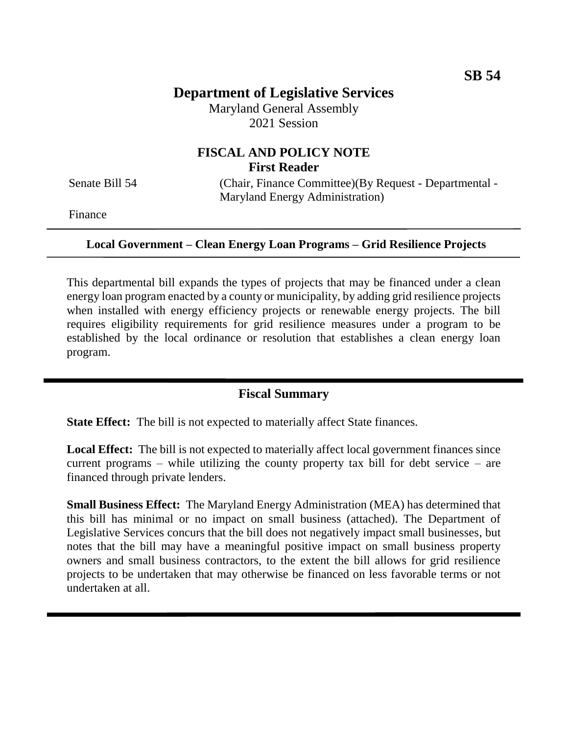# **Department of Legislative Services**

Maryland General Assembly 2021 Session

# **FISCAL AND POLICY NOTE First Reader**

Senate Bill 54 (Chair, Finance Committee)(By Request - Departmental -Maryland Energy Administration)

Finance

### **Local Government – Clean Energy Loan Programs – Grid Resilience Projects**

This departmental bill expands the types of projects that may be financed under a clean energy loan program enacted by a county or municipality, by adding grid resilience projects when installed with energy efficiency projects or renewable energy projects. The bill requires eligibility requirements for grid resilience measures under a program to be established by the local ordinance or resolution that establishes a clean energy loan program.

### **Fiscal Summary**

**State Effect:** The bill is not expected to materially affect State finances.

**Local Effect:** The bill is not expected to materially affect local government finances since current programs – while utilizing the county property tax bill for debt service – are financed through private lenders.

**Small Business Effect:** The Maryland Energy Administration (MEA) has determined that this bill has minimal or no impact on small business (attached). The Department of Legislative Services concurs that the bill does not negatively impact small businesses, but notes that the bill may have a meaningful positive impact on small business property owners and small business contractors, to the extent the bill allows for grid resilience projects to be undertaken that may otherwise be financed on less favorable terms or not undertaken at all.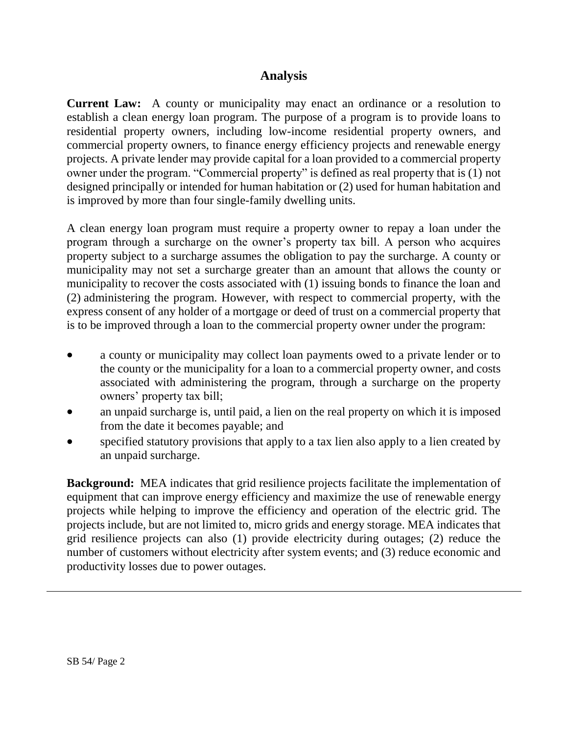## **Analysis**

**Current Law:** A county or municipality may enact an ordinance or a resolution to establish a clean energy loan program. The purpose of a program is to provide loans to residential property owners, including low-income residential property owners, and commercial property owners, to finance energy efficiency projects and renewable energy projects. A private lender may provide capital for a loan provided to a commercial property owner under the program. "Commercial property" is defined as real property that is (1) not designed principally or intended for human habitation or (2) used for human habitation and is improved by more than four single-family dwelling units.

A clean energy loan program must require a property owner to repay a loan under the program through a surcharge on the owner's property tax bill. A person who acquires property subject to a surcharge assumes the obligation to pay the surcharge. A county or municipality may not set a surcharge greater than an amount that allows the county or municipality to recover the costs associated with (1) issuing bonds to finance the loan and (2) administering the program. However, with respect to commercial property, with the express consent of any holder of a mortgage or deed of trust on a commercial property that is to be improved through a loan to the commercial property owner under the program:

- a county or municipality may collect loan payments owed to a private lender or to the county or the municipality for a loan to a commercial property owner, and costs associated with administering the program, through a surcharge on the property owners' property tax bill;
- an unpaid surcharge is, until paid, a lien on the real property on which it is imposed from the date it becomes payable; and
- specified statutory provisions that apply to a tax lien also apply to a lien created by an unpaid surcharge.

**Background:** MEA indicates that grid resilience projects facilitate the implementation of equipment that can improve energy efficiency and maximize the use of renewable energy projects while helping to improve the efficiency and operation of the electric grid. The projects include, but are not limited to, micro grids and energy storage. MEA indicates that grid resilience projects can also (1) provide electricity during outages; (2) reduce the number of customers without electricity after system events; and (3) reduce economic and productivity losses due to power outages.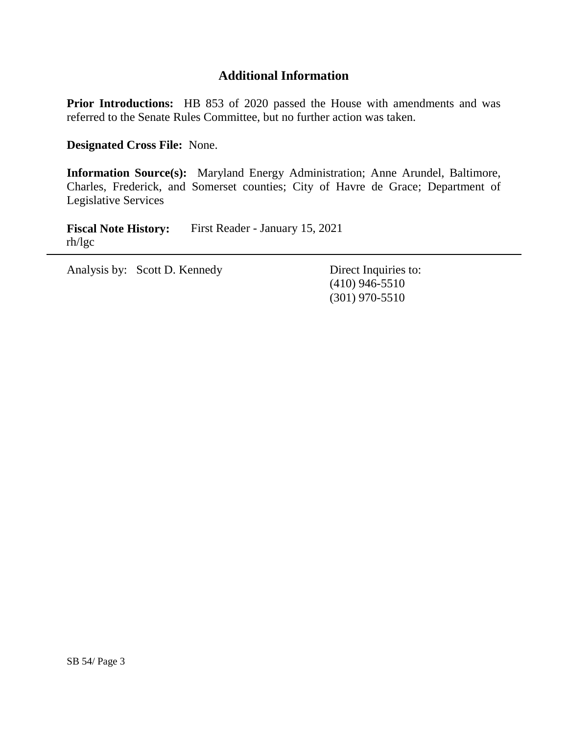## **Additional Information**

**Prior Introductions:** HB 853 of 2020 passed the House with amendments and was referred to the Senate Rules Committee, but no further action was taken.

**Designated Cross File:** None.

**Information Source(s):** Maryland Energy Administration; Anne Arundel, Baltimore, Charles, Frederick, and Somerset counties; City of Havre de Grace; Department of Legislative Services

**Fiscal Note History:** First Reader - January 15, 2021 rh/lgc

Analysis by: Scott D. Kennedy Direct Inquiries to:

(410) 946-5510 (301) 970-5510